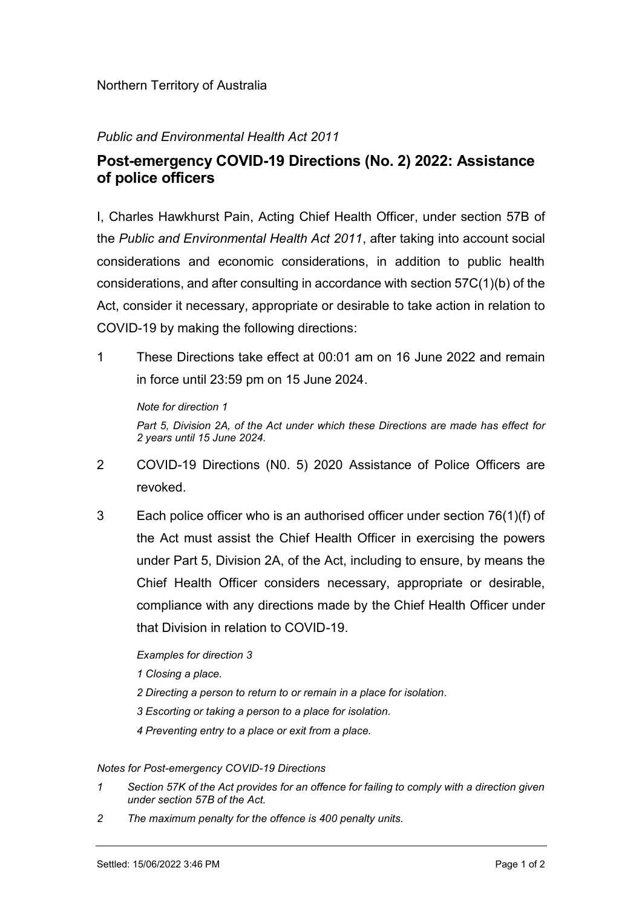## Northern Territory of Australia

## Public and Environmental Health Act 2011

## Post-emergency COVID-19 Directions (No. 2) 2022: Assistance of police officers

I, Charles Hawkhurst Pain, Acting Chief Health Officer, under section 57B of the Public and Environmental Health Act 2011, after taking into account social considerations and economic considerations, in addition to public health considerations, and after consulting in accordance with section 57C(1)(b) of the Act, consider it necessary, appropriate or desirable to take action in relation to COVID-19 by making the following directions:

1 These Directions take effect at 00:01 am on 16 June 2022 and remain in force until 23:59 pm on 15 June 2024.

Note for direction 1

Part 5, Division 2A, of the Act under which these Directions are made has effect for 2 years until 15 June 2024.

- 2 COVID-19 Directions (N0. 5) 2020 Assistance of Police Officers are revoked.
- 3 Each police officer who is an authorised officer under section 76(1)(f) of the Act must assist the Chief Health Officer in exercising the powers under Part 5, Division 2A, of the Act, including to ensure, by means the Chief Health Officer considers necessary, appropriate or desirable, compliance with any directions made by the Chief Health Officer under that Division in relation to COVID-19.

Examples for direction 3

- 1 Closing a place.
- 2 Directing a person to return to or remain in a place for isolation.
- 3 Escorting or taking a person to a place for isolation.
- 4 Preventing entry to a place or exit from a place.

## Notes for Post-emergency COVID-19 Directions

- 1 Section 57K of the Act provides for an offence for failing to comply with a direction given under section 57B of the Act.
- 2 The maximum penalty for the offence is 400 penalty units.